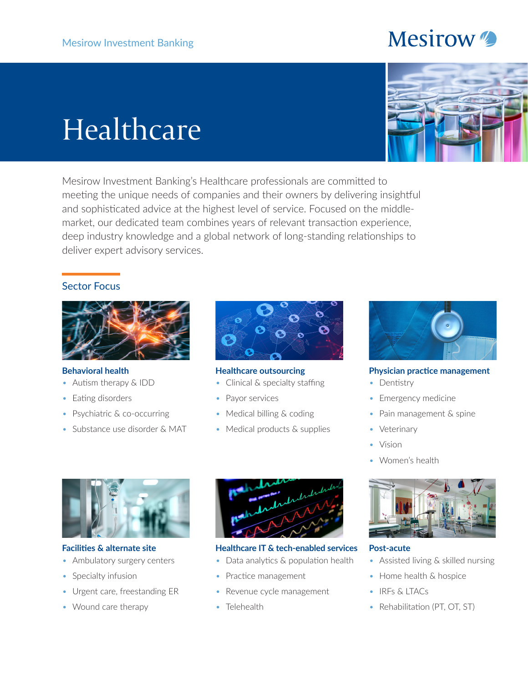# **Mesirow**

# Healthcare

Mesirow Investment Banking's Healthcare professionals are committed to meeting the unique needs of companies and their owners by delivering insightful and sophisticated advice at the highest level of service. Focused on the middlemarket, our dedicated team combines years of relevant transaction experience, deep industry knowledge and a global network of long-standing relationships to deliver expert advisory services.

### Sector Focus



#### **Behavioral health**

- Autism therapy & IDD
- Eating disorders
- Psychiatric & co-occurring
- Substance use disorder & MAT



#### **Healthcare outsourcing**

- Clinical & specialty staffing
- Payor services
- Medical billing & coding
- Medical products & supplies



#### **Physician practice management**

- Dentistry
- Emergency medicine
- Pain management & spine
- Veterinary
- Vision
- Women's health



**Facilities & alternate site**

- Ambulatory surgery centers
- Specialty infusion
- Urgent care, freestanding ER
- Wound care therapy



#### **Healthcare IT & tech-enabled services**

- Data analytics & population health
- Practice management
- Revenue cycle management
- Telehealth



#### **Post-acute**

- Assisted living & skilled nursing
- Home health & hospice
- IRFs & LTACs
- Rehabilitation (PT, OT, ST)